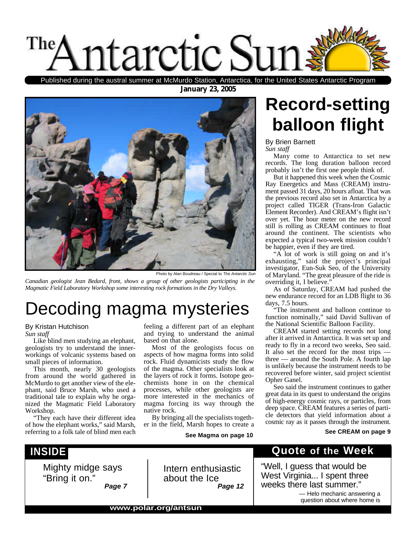

Published during the austral summer at McMurdo Station, Antarctica, for the United States Antarctic Program

**January 23, 2005**



Photo by Alan Boudreau / Special to *The Antarctic Sun*

*Canadian geologist Jean Bedard, front, shows a group of other geologists participting in the Magmatic Field Laboratory Workshop some interesting rock formations in the Dry Valleys.*

## Decoding magma mysteries

#### By Kristan Hutchison

*Sun staff*

Like blind men studying an elephant, geologists try to understand the innerworkings of volcanic systems based on small pieces of information.

This month, nearly 30 geologists from around the world gathered in McMurdo to get another view of the elephant, said Bruce Marsh, who used a traditional tale to explain why he organized the Magmatic Field Laboratory Workshop.

"They each have their different idea of how the elephant works," said Marsh, referring to a folk tale of blind men each

## **INSIDE**

Mighty midge says "Bring it on." *Page 7* feeling a different part of an elephant and trying to understand the animal based on that alone.

Most of the geologists focus on aspects of how magma forms into solid rock. Fluid dynamicists study the flow of the magma. Other specialists look at the layers of rock it forms. Isotope geochemists hone in on the chemical processes, while other geologists are more interested in the mechanics of magma forcing its way through the native rock.

By bringing all the specialists together in the field, Marsh hopes to create a

Intern enthusiastic

about the Ice

**See Magma on page 10**

*Page 12*

## **Record-setting balloon flight**

By Brien Barnett

*Sun staff*

Many come to Antarctica to set new records. The long duration balloon record probably isn't the first one people think of.

But it happened this week when the Cosmic Ray Energetics and Mass (CREAM) instrument passed 31 days, 20 hours afloat. That was the previous record also set in Antarctica by a project called TIGER (Trans-Iron Galactic Element Recorder). And CREAM's flight isn't over yet. The hour meter on the new record still is rolling as CREAM continues to float around the continent. The scientists who expected a typical two-week mission couldn't be happier, even if they are tired.

"A lot of work is still going on and it's exhausting," said the project's principal investigator, Eun-Suk Seo, of the University of Maryland. "The great pleasure of the ride is overriding it, I believe."

As of Saturday, CREAM had pushed the new endurance record for an LDB flight to 36 days, 7.5 hours.

"The instrument and balloon continue to function nominally," said David Sullivan of the National Scientific Balloon Facility.

CREAM started setting records not long after it arrived in Antarctica. It was set up and ready to fly in a record two weeks, Seo said. It also set the record for the most trips three — around the South Pole. A fourth lap is unlikely because the instrument needs to be recovered before winter, said project scientist Opher Ganel.

Seo said the instrument continues to gather great data in its quest to understand the origins of high-energy cosmic rays, or particles, from deep space. CREAM features a series of particle detectors that yield information about a cosmic ray as it passes through the instrument.

#### **See CREAM on page 9**

## **Quote of the Week**

"Well, I guess that would be West Virginia... I spent three weeks there last summer."

> *—* Helo mechanic answering a question about where home is

**www.polar.org/antsun**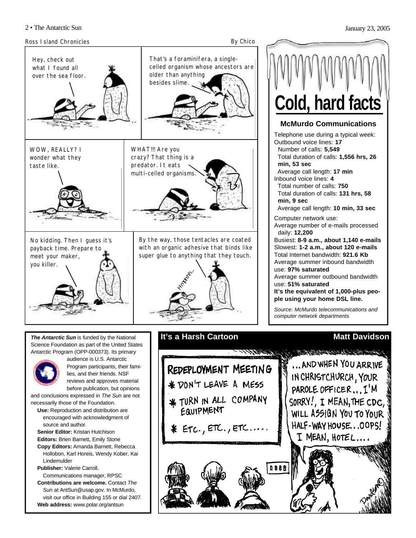

visit our office in Building 155 or dial 2407.

**Web address:** www.polar.org/antsun



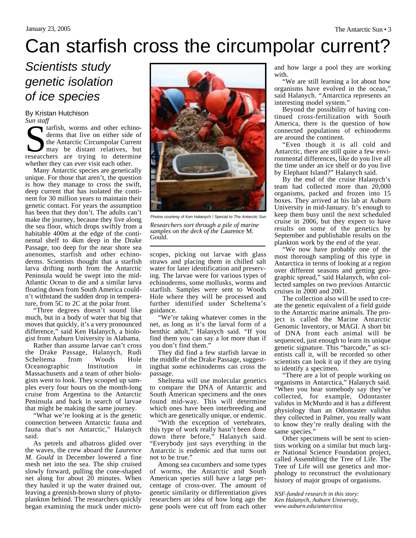## Can starfish cross the circumpolar current?

## *Scientists study genetic isolation of ice species*

By Kristan Hutchison *Sun staff*

Surface and other echino-<br>derms that live on either side of<br>the Antarctic Circumpolar Current<br>may be distant relatives, but<br>researchers are trying to determine tarfish, worms and other echinoderms that live on either side of the Antarctic Circumpolar Current may be distant relatives, but whether they can ever visit each other.

Many Antarctic species are genetically unique. For those that aren't, the question is how they manage to cross the swift, deep current that has isolated the continent for 30 million years to maintain their genetic contact. For years the assumption has been that they don't. The adults can't make the journey, because they live along the sea floor, which drops swiftly from a habitable 400m at the edge of the continental shelf to 4km deep in the Drake Passage, too deep for the near shore sea anenomes, starfish and other echinoderms. Scientists thought that a starfish larva drifting north from the Antarctic Peninsula would be swept into the mid-Atlantic Ocean to die and a similar larva floating down from South America couldn't withstand the sudden drop in temperature, from 5C to 2C at the polar front.

"Three degrees doesn't sound like much, but in a body of water that big that moves that quickly, it's a very pronounced difference," said Ken Halanych, a biologist from Auburn University in Alabama.

Rather than assume larvae can't cross the Drake Passage, Halanych, Rudi Scheltema from Woods Hole<br>Oceanographic Institution in Oceanographic Institution in Massachusetts and a team of other biologists went to look. They scooped up samples every four hours on the month-long cruise from Argentina to the Antarctic Peninsula and back in search of larvae that might be making the same journey.

"What we're looking at is the genetic connection between Antarctic fauna and fauna that's not Antarctic," Halanych said.

As petrels and albatross glided over the waves, the crew aboard the *Laurence M. Gould* in December lowered a fine mesh net into the sea. The ship cruised slowly forward, pulling the cone-shaped net along for about 20 minutes. When they hauled it up the water drained out, leaving a greenish-brown slurry of phytoplankton behind. The researchers quickly began examining the muck under micro-



Photos courtesy of Ken Halanych / Special to *The Antarctic Sun*

*Researchers sort through a pile of marine samples on the deck of the* Laurence M. Gould.

scopes, picking out larvae with glass straws and placing them in chilled salt water for later identification and preserving. The larvae were for various types of echinoderms, some mollusks, worms and starfish. Samples were sent to Woods Hole where they will be processed and further identified under Scheltema's guidance.

"We're taking whatever comes in the net, as long as it's the larval form of a benthic adult," Halanych said. "If you find them you can say a lot more than if you don't find them."

They did find a few starfish larvae in the middle of the Drake Passage, suggestingthat some echinoderms can cross the passage.

Sheltema will use molecular genetics to compare the DNA of Antarctic and South American specimens and the ones found mid-way. This will determine which ones have been interbreeding and which are genetically unique, or endemic.

"With the exception of vertebrates, this type of work really hasn't been done down there before," Halanych said. "Everybody just says everything in the Antarctic is endemic and that turns out not to be true."

Among sea cucumbers and some types of worms, the Antarctic and South American species still have a large percentage of cross-over. The amount of genetic similarity or differentiation gives researchers an idea of how long ago the gene pools were cut off from each other

and how large a pool they are working with.

"We are still learning a lot about how organisms have evolved in the ocean," said Halanych. "Antarctica represents an interesting model system."

Beyond the possibility of having continued cross-fertilization with South America, there is the question of how connected populations of echinoderms are around the continent.

"Even though it is all cold and Antarctic, there are still quite a few environmental differences, like do you live all the time under an ice shelf or do you live by Elephant Island?" Halanych said.

By the end of the cruise Halanych's team had collected more than 20,000 organisms, packed and frozen into 15 boxes. They arrived at his lab at Auburn University in mid-January. It's enough to keep them busy until the next scheduled cruise in 2006, but they expect to have results on some of the genetics by September and publishable results on the plankton work by the end of the year.

"We now have probably one of the most thorough sampling of this type in Antarctica in terms of looking at a region over different seasons and getting geographic spread," said Halanych, who collected samples on two previous Antarctic cruises in 2000 and 2001.

The collection also will be used to create the genetic equivalent of a field guide to the Antarctic marine animals. The project is called the Marine Antarctic Genomic Inventory, or MAGI. A short bit of DNA from each animal will be sequenced, just enough to learn its unique genetic signature. This "barcode," as scientists call it, will be recorded so other scientists can look it up if they are trying to identify a specimen.

"There are a lot of people working on organisms in Antarctica," Halanych said. "When you hear somebody say they've collected, for example, Odontaster validus in McMurdo and it has a different physiology than an Odontaster validus they collected in Palmer, you really want to know they're really dealing with the same species."

Other specimens will be sent to scientists working on a similar but much larger National Science Foundation project, called Assembling the Tree of Life. The Tree of Life will use genetics and morphology to reconstruct the evolutionary history of major groups of organisms.

*NSF-funded research in this story: Ken Halanych, Auburn University, www.auburn.edu/antarctica*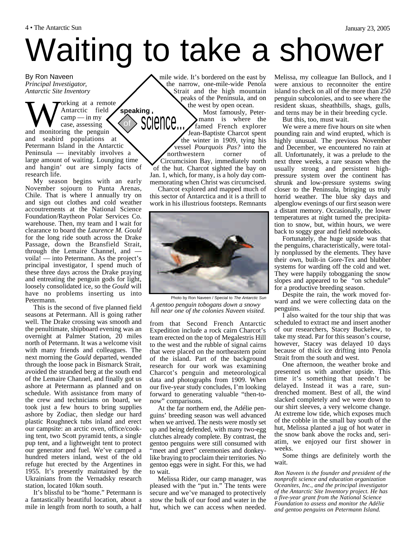# Waiting to take a shower

By Ron Naveen *Principal Investigator, Antarctic Site Inventory*

We and monitoring the penguin<br>and monitoring the penguin orking at a remote Antarctic field  $\text{camp} - \text{in}$  my case, assessing and seabird populations at Petermann Island in the Antarctic Peninsula — inevitably involves a large amount of waiting. Lounging time and hangin' out are simply facts of research life. **speaking**

My season begins with an early November sojourn to Punta Arenas, Chile. That is where I annually try on and sign out clothes and cold weather accoutrements at the National Science Foundation/Raytheon Polar Services Co. warehouse. Then, my team and I wait for clearance to board the *Laurence M. Gould* for the long ride south across the Drake Passage, down the Bransfield Strait, through the Lemaire Channel, and voila! — into Petermann. As the project's principal investigator, I spend much of these three days across the Drake praying and entreating the penguin gods for light, loosely consolidated ice, so the *Gould* will have no problems inserting us into Petermann.

This is the second of five planned field seasons at Petermann. All is going rather well. The Drake crossing was smooth and the penultimate, shipboard evening was an overnight at Palmer Station, 20 miles north of Petermann. It was a welcome visit with many friends and colleagues. The next morning the *Gould* departed, wended through the loose pack in Bismarck Strait, avoided the stranded berg at the south end of the Lemaire Channel, and finally got us ashore at Petermann as planned and on schedule. With assistance from many of the crew and technicians on board, we took just a few hours to bring supplies ashore by Zodiac, then sledge our hard plastic Roughneck tubs inland and erect our campsite: an arctic oven, office/cooking tent, two Scott pyramid tents, a single pup tent, and a lightweight tent to protect our generator and fuel. We've camped a hundred meters inland, west of the old refuge hut erected by the Argentines in 1955. It's presently maintained by the Ukrainians from the Vernadsky research station, located 10km south.

It's blissful to be "home." Petermann is a fantastically beautiful location, about a mile in length from north to south, a half mile wide. It's bordered on the east by the narrow, one-mile-wide Penola Strait and the high mountain peaks of the Peninsula, and on the west by open ocean.

Most famously, Petermann is where the famed French explorer Jean-Baptiste Charcot spent the winter in 1909, tying his vessel *Pourquois Pas?* into the northwestern corner of Circumcision Bay, immediately north of the hut. Charcot sighted the bay on Jan. 1, which, for many, is a holy day commemorating when Christ was circumcised. science...

Charcot explored and mapped much of this sector of Antarctica and it is a thrill to work in his illustrious footsteps. Remnants



Photo by Ron Naveen / Special to *The Antarctic Sun A gentoo penguin tobogans down a snowy hill near one of the colonies Naveen visited.*

from that Second French Antarctic Expedition include a rock cairn Charcot's team erected on the top of Megalestris Hill to the west and the rubble of signal cairns that were placed on the northeastern point of the island. Part of the background research for our work was examining Charcot's penguin and meteorological data and photographs from 1909. When our five-year study concludes, I'm looking forward to generating valuable "then-tonow" comparisons.

At the far northern end, the Adélie penguins' breeding season was well advanced when we arrived. The nests were mostly set up and being defended, with many two-egg clutches already complete. By contrast, the gentoo penguins were still consumed with "meet and greet" ceremonies and donkeylike braying to proclaim their territories. No gentoo eggs were in sight. For this, we had to wait.

Melissa Rider, our camp manager, was pleased with the "put in." The tents were secure and we've managed to protectively stow the bulk of our food and water in the hut, which we can access when needed.

Melissa, my colleague Ian Bullock, and I were anxious to reconnoiter the entire island to check on all of the more than 250 penguin subcolonies, and to see where the resident skuas, sheathbills, shags, gulls, and terns may be in their breeding cycle.

But this, too, must wait.

We were a mere five hours on site when pounding rain and wind erupted, which is highly unusual. The previous November and December, we encountered no rain at all. Unfortunately, it was a prelude to the next three weeks, a rare season when the usually strong and persistent highpressure system over the continent has shrunk and low-pressure systems swing closer to the Peninsula, bringing us truly horrid weather. The blue sky days and alpenglow evenings of our first season were a distant memory. Occasionally, the lower temperatures at night turned the precipitation to snow, but, within hours, we were back to soggy gear and field notebooks.

Fortunately, the huge upside was that the penguins, characteristically, were totally nonplussed by the elements. They have their own, built-in Gore-Tex and blubber systems for warding off the cold and wet. They were happily tobogganing the snow slopes and appeared to be "on schedule" for a productive breeding season.

Despite the rain, the work moved forward and we were collecting data on the penguins.

I also waited for the tour ship that was scheduled to extract me and insert another of our researchers, Stacey Buckelew, to take my stead. Par for this season's course, however, Stacey was delayed 10 days because of thick ice drifting into Penola Strait from the south and west.

One afternoon, the weather broke and presented us with another upside. This time it's something that needn't be delayed. Instead it was a rare, sundrenched moment. Best of all, the wind slacked completely and we were down to our shirt sleeves, a very welcome change. At extreme low tide, which exposes much of the cobble in the small bay south of the hut, Melissa planted a jug of hot water in the snow bank above the rocks and, seriatim, we enjoyed our first shower in weeks.

Some things are definitely worth the wait.

*Ron Naveen is the founder and president of the nonprofit science and education organization Oceanites, Inc., and the principal investigator of the Antarctic Site Inventory project. He has a five-year grant from the National Science Foundation to assess and monitor the Adélie and gentoo penguins on Petermann Island.*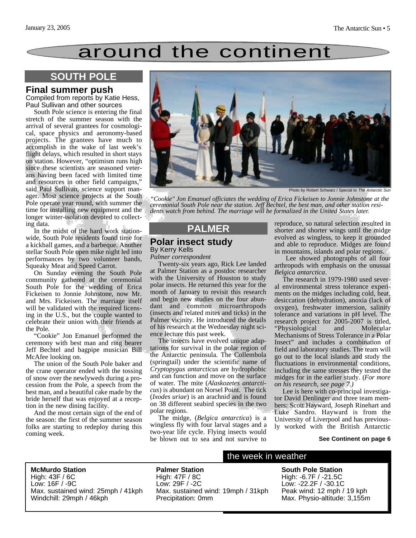## around the continent

## **SOUTH POLE**

#### **Final summer push**

Compiled from reports by Katie Hess, Paul Sullivan and other sources

South Pole science is entering the final stretch of the summer season with the arrival of several grantees for cosmological, space physics and aeronomy-based projects. The grantees have much to accomplish in the wake of last week's flight delays, which resulted in short stays on station. However, "optimism runs high since these scientists are seasoned veterans having been faced with limited time and resources in other field campaigns," said Paul Sullivan, science support manager. Most science projects at the South Pole operate year round, with summer the time for installing new equipment and the longer winter-isolation devoted to collecting data.

In the midst of the hard work stationwide, South Pole residents found time for a kickball games, and a barbeque. Another stellar South Pole open mike night led into performances by two volunteer bands, Squeaky Meat and Speed Carrot.

On Sunday evening the South Pole community gathered at the ceremonial South Pole for the wedding of Erica Fickeisen to Jonnie Johnstone, now Mr. and Mrs. Fickeisen. The marriage itself will be validated with the required licensing in the U.S., but the couple wanted to celebrate their union with their friends at the Pole.

"Cookie" Jon Emanuel performed the ceremony with best man and ring bearer Jeff Bechtel and bagpipe musician Bill McAfee looking on.

The union of the South Pole baker and the crane operator ended with the tossing of snow over the newlyweds during a procession from the Pole, a speech from the best man, and a beautiful cake made by the bride herself that was enjoyed at a reception in the new dining facility.

And the most certain sign of the end of the season: the first of the summer season folks are starting to redeploy during this coming week.



Photo by Robert Schwarz / Special to *The Antarctic S* 

*"Cookie" Jon Emanuel officiates the wedding of Erica Fickeisen to Jonnie Johnstone at the ceremonial South Pole near the station. Jeff Bechtel, the best man, and other station residents watch from behind. The marriage will be formalized in the United States later.*

### **PALMER**

#### **Polar insect study** By Kerry Kells

*Palmer correspondent*

Twenty-six years ago, Rick Lee landed at Palmer Station as a postdoc researcher with the University of Houston to study polar insects. He returned this year for the month of January to revisit this research and begin new studies on the four abundant and common microarthropods (insects and related mites and ticks) in the Palmer vicinity. He introduced the details of his research at the Wednesday night science lecture this past week.

The insects have evolved unique adaptations for survival in the polar region of the Antarctic peninsula. The Collembola (springtail) under the scientific name of *Cryptopygus antarcticus* are hydrophobic and can function and move on the surface of water. The mite (*Alaskozetes antarcticus*) is abundant on Norsel Point. The tick (*Ixodes uriae*) is an arachnid and is found on 38 different seabird species in the two polar regions.

The midge, (*Belgica antarctica*) is a wingless fly with four larval stages and a two-year life cycle. Flying insects would be blown out to sea and not survive to

reproduce, so natural selection resulted in shorter and shorter wings until the midge evolved as wingless, to keep it grounded and able to reproduce. Midges are found in mountains, islands and polar regions.

Lee showed photographs of all four arthropods with emphasis on the unusual *Belgica antarctica*.

The research in 1979-1980 used several environmental stress tolerance experiments on the midges including cold, heat, desiccation (dehydration), anoxia (lack of oxygen), freshwater immersion, salinity tolerance and variations in pH level. The research project for 2005-2007 is titled, "Physiological and Molecular Mechanisms of Stress Tolerance in a Polar Insect" and includes a combination of field and laboratory studies. The team will go out to the local islands and study the fluctuations in environmental conditions, including the same stresses they tested the midges for in the earlier study. (*For more on his research, see page 7.)*

Lee is here with co-principal investigator David Denlinger and three team members: Scott Hayward, Joseph Rinehart and Luke Sandro. Hayward is from the University of Liverpool and has previously worked with the British Antarctic

#### **See Continent on page 6**

**McMurdo Station** High: 43F / 6C Low: 16F / -9C Max. sustained wind: 25mph / 41kph Windchill: 29mph / 46kph

**Palmer Station** High: 47F / 8C Low: 29F / -2C Max. sustained wind: 19mph / 31kph Precipitation: 0mm

#### the week in weather

**South Pole Station** High: -6.7F / -21.5C Low: -22.2F / -30.1C Peak wind: 12 mph / 19 kph Max. Physio-altitude: 3,155m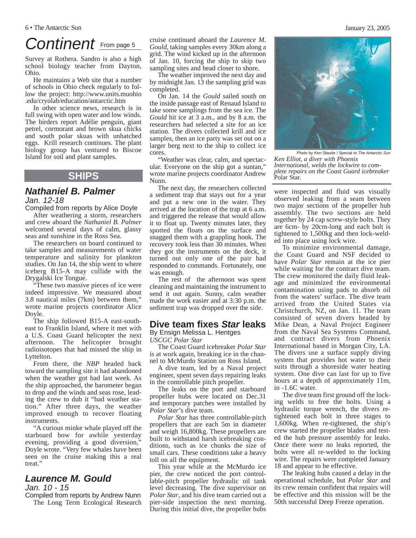## Continent **From page 5**

Survey at Rothera. Sandro is also a high school biology teacher from Dayton, Ohio.

He maintains a Web site that a number of schools in Ohio check regularly to follow the project: http://www.units.muohio .edu/cryolab/education/antarctic.htm

In other science news, research is in full swing with open water and low winds. The birders report Adélie penguin, giant petrel, cormorant and brown skua chicks and south polar skuas with unhatched eggs. Krill research continues. The plant biology group has ventured to Biscoe Island for soil and plant samples.

### **SHIPS**

## *Nathaniel B. Palmer*

*Jan. 12-18*

Compiled from reports by Alice Doyle After weathering a storm, researchers and crew aboard the *Nathaniel B. Palmer* welcomed several days of calm, glassy seas and sunshine in the Ross Sea.

The researchers on board continued to take samples and measurements of water temperature and salinity for plankton studies. On Jan 14, the ship went to where iceberg B15-A may collide with the Drygalski Ice Tongue.

"These two massive pieces of ice were indeed impressive. We measured about 3.8 nautical miles (7km) between them," wrote marine projects coordinator Alice Doyle.

The ship followed B15-A east-southeast to Franklin Island, where it met with a U.S. Coast Guard helicopter the next afternoon. The helicopter brought radioisotopes that had missed the ship in Lyttelton.

From there, the *NBP* headed back toward the sampling site it had abandoned when the weather got bad last week. As the ship approached, the barometer began to drop and the winds and seas rose, leading the crew to dub it "bad weather station." After three days, the weather improved enough to recover floating instruments.

"A curious minke whale played off the starboard bow for awhile yesterday evening, providing a good diversion," Doyle wrote. "Very few whales have been seen on the cruise making this a real treat<sup>"</sup>

## *Laurence M. Gould*

*Jan. 10 - 15*

Compiled from reports by Andrew Nunn The Long Term Ecological Research cruise continued aboard the *Laurence M. Gould*, taking samples every 30km along a grid. The wind kicked up in the afternoon of Jan. 10, forcing the ship to skip two sampling sites and head closer to shore.

The weather improved the next day and by midnight Jan. 13 the sampling grid was completed.

On Jan. 14 the *Gould* sailed south on the inside passage east of Renaud Island to take some samplings from the sea ice. The *Gould* hit ice at 3 a.m., and by 8 a.m. the researchers had selected a site for an ice station. The divers collected krill and ice samples, then an ice party was set out on a larger berg next to the ship to collect ice cores.

"Weather was clear, calm, and spectacular. Everyone on the ship got a suntan," wrote marine projects coordinator Andrew Nunn.

The next day, the researchers collected a sediment trap that stays out for a year and put a new one in the water. They arrived at the location of the trap at 6 a.m. and triggered the release that would allow it to float up. Twenty minutes later, they spotted the floats on the surface and snagged them with a grappling hook. The recovery took less than 30 minutes. When they got the instruments on the deck, it turned out only one of the pair had responded to commands. Fortunately, one was enough.

The rest of the afternoon was spent cleaning and maintaining the instrument to send it out again. Sunny, calm weather made the work easier and at 3:30 p.m. the sediment trap was dropped over the side.

### **Dive team fixes** *Star* **leaks**

By Ensign Melissa L. Hentges *USCGC Polar Star*

The Coast Guard icebreaker *Polar Star* is at work again, breaking ice in the channel to McMurdo Station on Ross Island.

A dive team, led by a Naval project engineer, spent seven days repairing leaks in the controllable pitch propeller.

The leaks on the port and starboard propeller hubs were located on Dec.31 and temporary patches were installed by *Polar Star*'s dive team.

*Polar Star* has three controllable-pitch propellers that are each 5m in diameter and weigh 16,800kg. These propellers are built to withstand harsh icebreaking conditions, such as ice chunks the size of small cars. These conditions take a heavy toll on all the equipment.

This year while at the McMurdo ice pier, the crew noticed the port controllable-pitch propeller hydraulic oil tank level decreasing. The dive supervisor on *Polar Star*, and his dive team carried out a pier-side inspection the next morning. During this initial dive, the propeller hubs

Photo by Ken Staude / Special to *The Antarctic Sun*

*Ken Elliot, a diver with Phoenix International, welds the lockwire to complete repairs on the Coast Guard icebreaker* Polar Star*.*

were inspected and fluid was visually observed leaking from a seam between two major sections of the propeller hub assembly. The two sections are held together by 24 cap screw-style bolts. They are 6cm- by 20cm-long and each bolt is tightened to 1,500kg and then lock-welded into place using lock wire.

To minimize environmental damage, the Coast Guard and NSF decided to have *Polar Star* remain at the ice pier while waiting for the contract dive team. The crew monitored the daily fluid leakage and minimized the environmental contamination using pads to absorb oil from the waters' surface. The dive team arrived from the United States via Christchurch, NZ, on Jan. 11. The team consisted of seven divers headed by Mike Dean, a Naval Project Engineer from the Naval Sea Systems Command, and contract divers from Phoenix International based in Morgan City, LA. The divers use a surface supply diving system that provides hot water to their suits through a shoreside water heating system. One dive can last for up to five hours at a depth of approximately 11m, in -1.6C water.

The dive team first ground off the locking welds to free the bolts. Using a hydraulic torque wrench, the divers retightened each bolt in three stages to 1,600kg. When re-tightened, the ship's crew started the propeller blades and tested the hub pressure assembly for leaks. Once there were no leaks reported, the bolts were all re-welded to the locking wire. The repairs were completed January 18 and appear to be effective.

The leaking hubs caused a delay in the operational schedule, but *Polar Star* and its crew remain confident that repairs will be effective and this mission will be the 50th successful Deep Freeze operation.

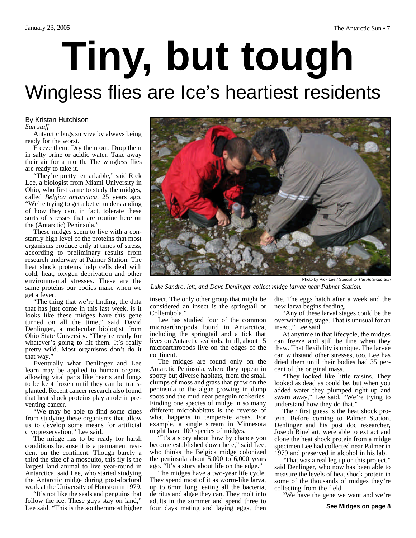# **Tiny, but tough** Wingless flies are Ice's heartiest residents

#### By Kristan Hutchison *Sun staff*

Antarctic bugs survive by always being ready for the worst.

Freeze them. Dry them out. Drop them in salty brine or acidic water. Take away their air for a month. The wingless flies are ready to take it.

"They're pretty remarkable," said Rick Lee, a biologist from Miami University in Ohio, who first came to study the midges, called *Belgica antarctica*, 25 years ago. "We're trying to get a better understanding of how they can, in fact, tolerate these sorts of stresses that are routine here on the (Antarctic) Peninsula."

These midges seem to live with a constantly high level of the proteins that most organisms produce only at times of stress, according to preliminary results from research underway at Palmer Station. The heat shock proteins help cells deal with cold, heat, oxygen deprivation and other environmental stresses. These are the same proteins our bodies make when we get a fever.

"The thing that we're finding, the data that has just come in this last week, is it looks like these midges have this gene turned on all the time," said David Denlinger, a molecular biologist from Ohio State University. "They're ready for whatever's going to hit them. It's really pretty wild. Most organisms don't do it that way."

Eventually what Denlinger and Lee learn may be applied to human organs, allowing vital parts like hearts and lungs to be kept frozen until they can be transplanted. Recent cancer research also found that heat shock proteins play a role in preventing cancer.

"We may be able to find some clues from studying these organisms that allow us to develop some means for artificial cryopreservation," Lee said.

The midge has to be ready for harsh conditions because it is a permanent resident on the continent. Though barely a third the size of a mosquito, this fly is the largest land animal to live year-round in Antarctica, said Lee, who started studying the Antarctic midge during post-doctoral work at the University of Houston in 1979.

"It's not like the seals and penguins that follow the ice. These guys stay on land," Lee said. "This is the southernmost higher



Photo by Rick Lee / Special to *The Antarctic Sun*

*Luke Sandro, left, and Dave Denlinger collect midge larvae near Palmer Station.*

insect. The only other group that might be considered an insect is the springtail or Collembola."

Lee has studied four of the common microarthropods found in Antarctica, including the springtail and a tick that lives on Antarctic seabirds. In all, about 15 microarthropods live on the edges of the continent.

The midges are found only on the Antarctic Peninsula, where they appear in spotty but diverse habitats, from the small clumps of moss and grass that grow on the peninsula to the algae growing in damp spots and the mud near penguin rookeries. Finding one species of midge in so many different microhabitats is the reverse of what happens in temperate areas. For example, a single stream in Minnesota might have 100 species of midges.

"It's a story about how by chance you become established down here," said Lee, who thinks the Belgica midge colonized the peninsula about 5,000 to 6,000 years ago. "It's a story about life on the edge."

The midges have a two-year life cycle. They spend most of it as worm-like larva, up to 6mm long, eating all the bacteria, detritus and algae they can. They molt into adults in the summer and spend three to four days mating and laying eggs, then die. The eggs hatch after a week and the new larva begins feeding.

"Any of these larval stages could be the overwintering stage. That is unusual for an insect," Lee said.

At anytime in that lifecycle, the midges can freeze and still be fine when they thaw. That flexibility is unique. The larvae can withstand other stresses, too. Lee has dried them until their bodies had 35 percent of the original mass.

"They looked like little raisins. They looked as dead as could be, but when you added water they plumped right up and swam away," Lee said. "We're trying to understand how they do that."

Their first guess is the heat shock protein. Before coming to Palmer Station, Denlinger and his post doc researcher, Joseph Rinehart, were able to extract and clone the heat shock protein from a midge specimen Lee had collected near Palmer in 1979 and preserved in alcohol in his lab.

"That was a real leg up on this project," said Denlinger, who now has been able to measure the levels of heat shock protein in some of the thousands of midges they're collecting from the field.

"We have the gene we want and we're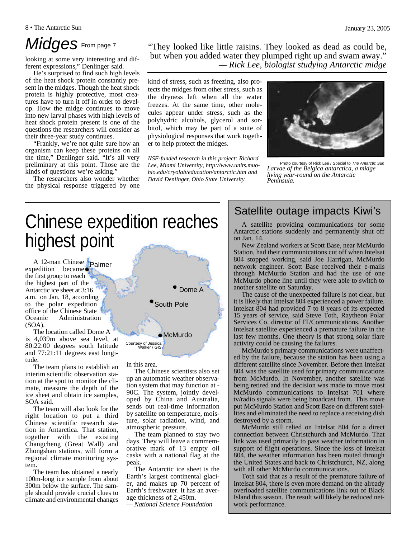looking at some very interesting and different expressions," Denlinger said.

He's surprised to find such high levels of the heat shock protein constantly present in the midges. Though the heat shock protein is highly protective, most creatures have to turn it off in order to develop. How the midge continues to move into new larval phases with high levels of heat shock protein present is one of the questions the researchers will consider as their three-year study continues.

"Frankly, we're not quite sure how an organism can keep these proteins on all the time," Denlinger said. "It's all very preliminary at this point. Those are the kinds of questions we're asking."

The researchers also wonder whether the physical response triggered by one

*Midges* From page 7 "They looked like little raisins. They looked as dead as could be, but when you added water they plumped right up and swam away." *— Rick Lee, biologist studying Antarctic midge*

> kind of stress, such as freezing, also protects the midges from other stress, such as the dryness left when all the water freezes. At the same time, other molecules appear under stress, such as the polyhydric alcohols, glycerol and sorbitol, which may be part of a suite of physiological responses that work together to help protect the midges.

*NSF-funded research in this project: Richard Lee, Miami University, http://www.units.muohio.edu/cryolab/education/antarctic.htm and David Denlinger, Ohio State University*



Photo courtesy of Rick Lee / Special to *The Antarctic Sun Larvae of the Belgica antarctica, a midge living year-round on the Antarctic Peninsula.*

## Chinese expedition reaches highest point

A 12-man Chinese Palmer expedition became the first group to reach the highest part of the Antarctic ice sheet at 3:16 a.m. on Jan. 18, according to the polar expedition office of the Chinese State Oceanic Administration (SOA).

The location called Dome A is 4,039m above sea level, at 80:22:00 degrees south latitude and 77:21:11 degrees east longitude.

The team plans to establish an interim scientific observation station at the spot to monitor the climate, measure the depth of the ice sheet and obtain ice samples, SOA said.

The team will also look for the right location to put a third Chinese scientific research station in Antarctica. That station, together with the existing Changcheng (Great Wall) and Zhongshan stations, will form a regional climate monitoring system.

The team has obtained a nearly 100m-long ice sample from about 300m below the surface. The sample should provide crucial clues to climate and environmental changes



in this area.

The Chinese scientists also set up an automatic weather observation system that may function at - 90C. The system, jointly developed by China and Australia, sends out real-time information by satellite on temperature, moisture, solar radiation, wind, and atmospheric pressure.

The team planned to stay two days. They will leave a commemorative mark of 13 empty oil casks with a national flag at the peak.

The Antarctic ice sheet is the Earth's largest continental glacier, and makes up 70 percent of Earth's freshwater. It has an average thickness of 2,450m.

*— National Science Foundation*

## Satellite outage impacts Kiwi's

A satellite providing communications for some Antarctic stations suddenly and permanently shut off on Jan. 14.

New Zealand workers at Scott Base, near McMurdo Station, had their communications cut off when Intelsat 804 stopped working, said Joe Harrigan, McMurdo network engineer. Scott Base received their e-mails through McMurdo Station and had the use of one McMurdo phone line until they were able to switch to another satellite on Saturday.

The cause of the unexpected failure is not clear, but it is likely that Intelsat 804 experienced a power failure. Intelsat 804 had provided 7 to 8 years of its expected 15 years of service, said Steve Toth, Raytheon Polar Services Co. director of IT/Communications. Another Intelsat satellite experienced a premature failure in the last few months. One theory is that strong solar flare activity could be causing the failures.

McMurdo's primary communications were unaffected by the failure, because the station has been using a different satellite since November. Before then Intelsat 804 was the satellite used for primary communications from McMurdo. In November, another satellite was being retired and the decision was made to move most McMurdo communications to Intelsat 701 where tv/radio signals were being broadcast from. This move put McMurdo Station and Scott Base on different satellites and eliminated the need to replace a receiving dish destroyed by a storm.

McMurdo still relied on Intelsat 804 for a direct connection between Christchurch and McMurdo. That link was used primarily to pass weather information in support of flight operations. Since the loss of Intelsat 804, the weather information has been routed through the United States and back to Christchurch, NZ, along with all other McMurdo communications.

Toth said that as a result of the premature failure of Intelsat 804, there is even more demand on the already overloaded satellite communications link out of Black Island this season. The result will likely be reduced network performance.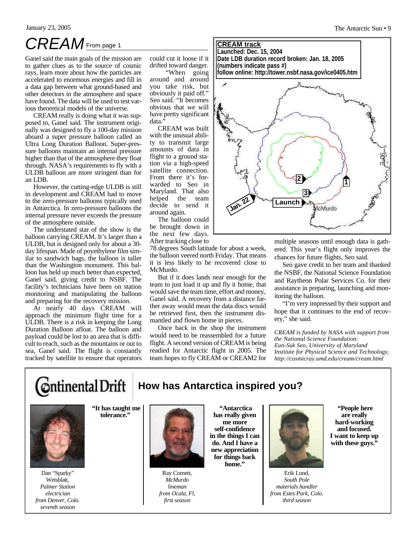## *CREAM*From page 1 **CREAM track**

Ganel said the main goals of the mission are to gather clues as to the source of cosmic rays, learn more about how the particles are accelerated to enormous energies and fill in a data gap between what ground-based and other detectors in the atmosphere and space have found. The data will be used to test various theoretical models of the universe.

CREAM really is doing what it was supposed to, Ganel said. The instrument originally was designed to fly a 100-day mission aboard a super pressure balloon called an Ultra Long Duration Balloon. Super-pressure balloons maintain an internal pressure higher than that of the atmosphere they float through. NASA's requirements to fly with a ULDB balloon are more stringent than for an LDB.

However, the cutting-edge ULDB is still in development and CREAM had to move to the zero-pressure balloons typically used in Antarctica. In zero-pressure balloons the internal pressure never exceeds the pressure of the atmosphere outside.

The understated star of the show is the balloon carrying CREAM. It's larger than a ULDB, but is designed only for about a 30 day lifespan. Made of poyethylene film similar to sandwich bags, the balloon is taller than the Washington monument. This balloon has held up much better than expected, Ganel said, giving credit to NSBF. The facility's technicians have been on station monitoring and manipulating the balloon and preparing for the recovery mission.

At nearly 40 days CREAM will approach the minimum flight time for a ULDB. There is a risk in keeping the Long Duration Balloon afloat. The balloon and payload could be lost to an area that is difficult to reach, such as the mountains or out to sea, Ganel said. The flight is constantly tracked by satellite to ensure that operators could cut it loose if it drifted toward danger.

"When going around and around you take risk, but obviously it paid off." Seo said. "It becomes obvious that we will have pretty significant data."

CREAM was built with the unusual ability to transmit large amounts of data in flight to a ground station via a high-speed satellite connection. From there it's forwarded to Seo in Maryland. That also helped the team decide to send it around again.

The balloon could be brought down in the next few days. After tracking close to

78 degrees South latitude for about a week, the balloon veered north Friday. That means it is less likely to be recovered close to McMurdo.

But if it does lands near enough for the team to just load it up and fly it home, that would save the team time, effort and money, Ganel said. A recovery from a distance farther away would mean the data discs would be retrieved first, then the instrument dismantled and flown home in pieces.

Once back in the shop the instrument would need to be reassembled for a future flight. A second version of CREAM is being readied for Antarctic flight in 2005. The team hopes to fly CREAM or CREAM2 for



multiple seasons until enough data is gathered. This year's flight only improves the chances for future flights, Seo said.

Seo gave credit to her team and thanked the NSBF, the National Science Foundation and Raytheon Polar Services Co. for their assistance in preparing, launching and monitoring the balloon.

"I'm very impressed by their support and hope that it continues to the end of recovery," she said.

*CREAM is funded by NASA with support from the National Science Foundation: Eun-Suk Seo, University of Maryland Institute for Physical Science and Technology, http://cosmicray.umd.edu/cream/cream.html* 



## **How has Antarctica inspired you?**



Dan "Sparky" Weisblatt, *Palmer Station electrician from Denver, Colo. seventh season*

**"It has taught me tolerance."** 



Ray Cornett, *McMurdo lineman from Ocala, Fl, first season* 

**"Antarctica has really given me more self-confidence in the things I can do. And I have a new appreciation for things back home."** 



Erik Lund, *South Pole materials handler from Estes Park, Colo. third season*

**"People here are really hard-working and focused. I want to keep up with these guys."**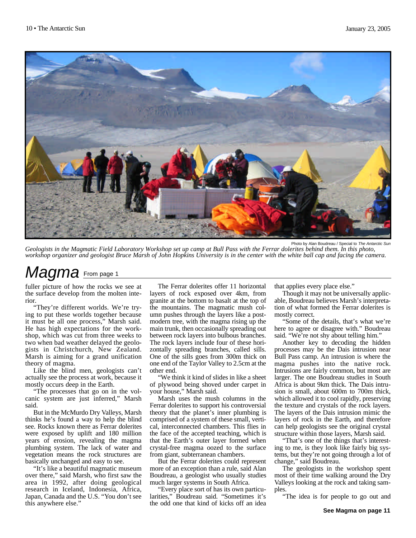

Photo by Alan Boudreau / Special to *The Antarctic Sun*

*Geologists in the Magmatic Field Laboratory Workshop set up camp at Bull Pass with the Ferrar dolerites behind them. In this photo, workshop organizer and geologist Bruce Marsh of John Hopkins University is in the center with the white ball cap and facing the camera.*

## *Magma* From page 1

fuller picture of how the rocks we see at the surface develop from the molten interior.

"They're different worlds. We're trying to put these worlds together because it must be all one process," Marsh said. He has high expectations for the workshop, which was cut from three weeks to two when bad weather delayed the geologists in Christchurch, New Zealand. Marsh is aiming for a grand unification theory of magma.

Like the blind men, geologists can't actually see the process at work, because it mostly occurs deep in the Earth.

"The processes that go on in the volcanic system are just inferred," Marsh said.

But in the McMurdo Dry Valleys, Marsh thinks he's found a way to help the blind see. Rocks known there as Ferrar dolerites were exposed by uplift and 180 million years of erosion, revealing the magma plumbing system. The lack of water and vegetation means the rock structures are basically unchanged and easy to see.

"It's like a beautiful magmatic museum over there," said Marsh, who first saw the area in 1992, after doing geological research in Iceland, Indonesia, Africa, Japan, Canada and the U.S. "You don't see this anywhere else."

The Ferrar dolerites offer 11 horizontal layers of rock exposed over 4km, from granite at the bottom to basalt at the top of the mountains. The magmatic mush column pushes through the layers like a postmodern tree, with the magma rising up the main trunk, then occasionally spreading out between rock layers into bulbous branches. The rock layers include four of these horizontally spreading branches, called sills. One of the sills goes from 300m thick on one end of the Taylor Valley to 2.5cm at the other end.

"We think it kind of slides in like a sheet of plywood being shoved under carpet in your house," Marsh said.

Marsh uses the mush columns in the Ferrar dolerites to support his controversial theory that the planet's inner plumbing is comprised of a system of these small, vertical, interconnected chambers. This flies in the face of the accepted teaching, which is that the Earth's outer layer formed when crystal-free magma oozed to the surface from giant, subterranean chambers.

But the Ferrar dolerites could represent more of an exception than a rule, said Alan Boudreau, a geologist who usually studies much larger systems in South Africa.

"Every place sort of has its own particularities," Boudreau said. "Sometimes it's the odd one that kind of kicks off an idea that applies every place else."

Though it may not be universally applicable, Boudreau believes Marsh's interpretation of what formed the Ferrar dolerites is mostly correct.

"Some of the details, that's what we're here to agree or disagree with." Boudreau said. "We're not shy about telling him."

Another key to decoding the hidden processes may be the Dais intrusion near Bull Pass camp. An intrusion is where the magma pushes into the native rock. Intrusions are fairly common, but most are larger. The one Boudreau studies in South Africa is about 9km thick. The Dais intrusion is small, about 600m to 700m thick, which allowed it to cool rapidly, preserving the texture and crystals of the rock layers. The layers of the Dais intrusion mimic the layers of rock in the Earth, and therefore can help geologists see the original crystal structure within those layers, Marsh said.

"That's one of the things that's interesting to me, is they look like fairly big systems, but they're not going through a lot of change," said Boudreau.

The geologists in the workshop spent most of their time walking around the Dry Valleys looking at the rock and taking samples.

"The idea is for people to go out and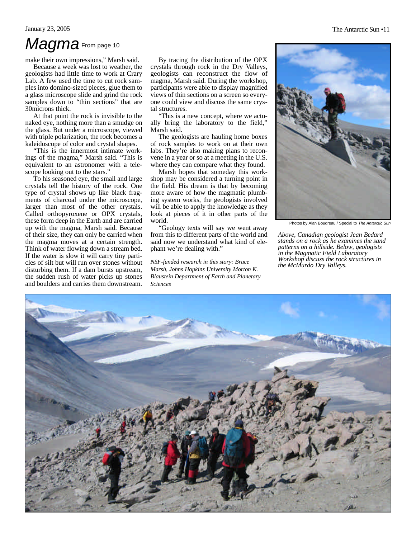## *Magma* From page 10

make their own impressions," Marsh said.

Because a week was lost to weather, the geologists had little time to work at Crary Lab. A few used the time to cut rock samples into domino-sized pieces, glue them to a glass microscope slide and grind the rock samples down to "thin sections" that are 30microns thick.

At that point the rock is invisible to the naked eye, nothing more than a smudge on the glass. But under a microscope, viewed with triple polarization, the rock becomes a kaleidoscope of color and crystal shapes.

"This is the innermost intimate workings of the magma," Marsh said. "This is equivalent to an astronomer with a telescope looking out to the stars."

To his seasoned eye, the small and large crystals tell the history of the rock. One type of crystal shows up like black fragments of charcoal under the microscope, larger than most of the other crystals. Called orthopyroxene or OPX crystals, these form deep in the Earth and are carried up with the magma, Marsh said. Because of their size, they can only be carried when the magma moves at a certain strength. Think of water flowing down a stream bed. If the water is slow it will carry tiny particles of silt but will run over stones without disturbing them. If a dam bursts upstream, the sudden rush of water picks up stones and boulders and carries them downstream.

By tracing the distribution of the OPX crystals through rock in the Dry Valleys, geologists can reconstruct the flow of magma, Marsh said. During the workshop, participants were able to display magnified views of thin sections on a screen so everyone could view and discuss the same crystal structures.

"This is a new concept, where we actually bring the laboratory to the field," Marsh said.

The geologists are hauling home boxes of rock samples to work on at their own labs. They're also making plans to reconvene in a year or so at a meeting in the U.S. where they can compare what they found.

Marsh hopes that someday this workshop may be considered a turning point in the field. His dream is that by becoming more aware of how the magmatic plumbing system works, the geologists involved will be able to apply the knowledge as they look at pieces of it in other parts of the world.

"Geology texts will say we went away from this to different parts of the world and said now we understand what kind of elephant we're dealing with."

*NSF-funded research in this story: Bruce Marsh, Johns Hopkins University Morton K. Blaustein Department of Earth and Planetary Sciences* 

![](_page_10_Picture_14.jpeg)

Photos by Alan Boudreau / Special to *The Antarctic Sun*

*Above, Canadian geologist Jean Bedard stands on a rock as he examines the sand patterns on a hillside. Below, geologists in the Magmatic Field Laboratory Workshop discuss the rock structures in the McMurdo Dry Valleys.*

![](_page_10_Picture_17.jpeg)